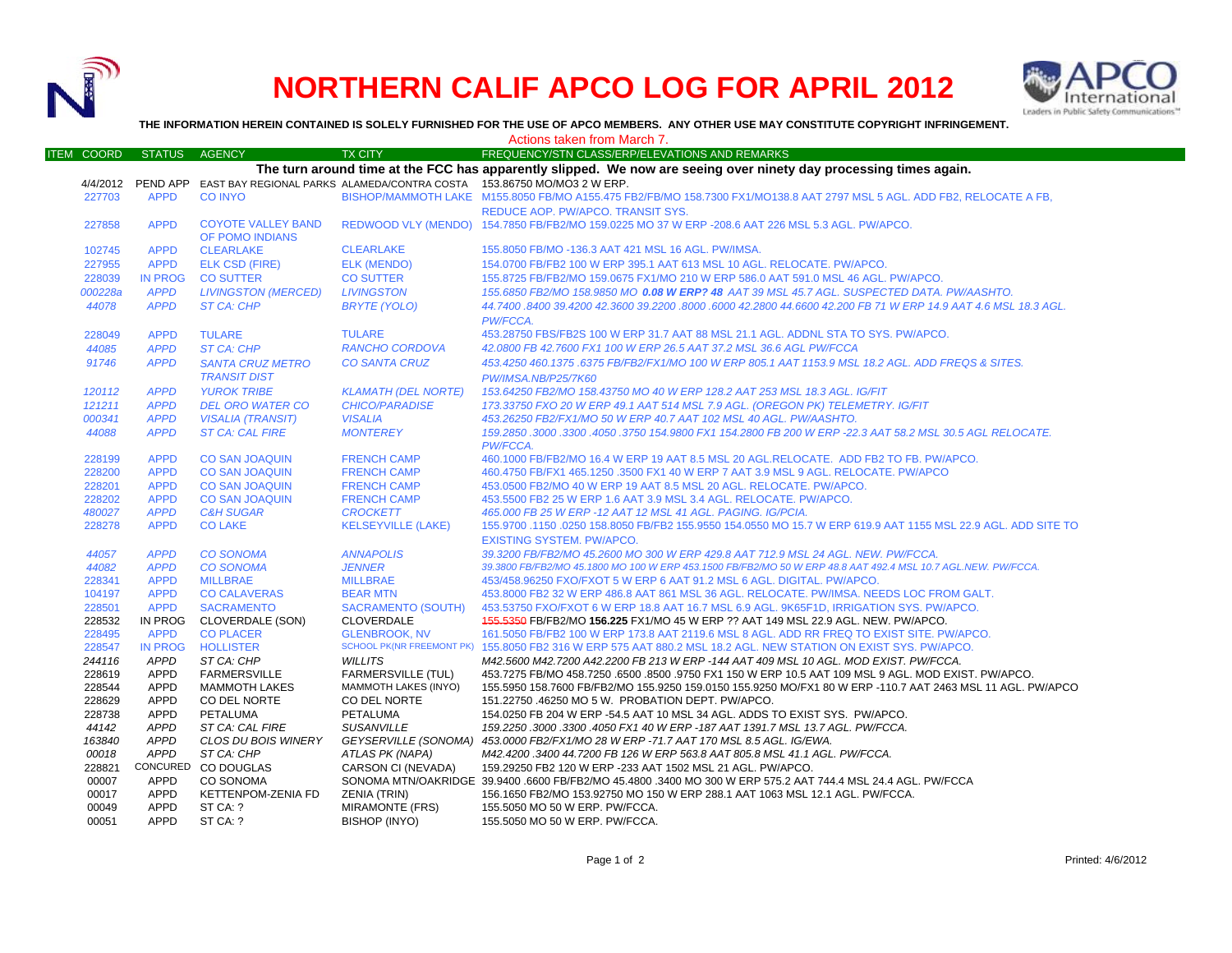

## **NORTHERN CALIF APCO LOG FOR APRIL 2012**



**THE INFORMATION HEREIN CONTAINED IS SOLELY FURNISHED FOR THE USE OF APCO MEMBERS. ANY OTHER USE MAY CONSTITUTE COPYRIGHT INFRINGEMENT.**

|                                                                                                                   |                | Actions taken from March 7. |                                  |                                                                                                                         |  |  |  |
|-------------------------------------------------------------------------------------------------------------------|----------------|-----------------------------|----------------------------------|-------------------------------------------------------------------------------------------------------------------------|--|--|--|
| <b>ITEM COORD</b>                                                                                                 | <b>STATUS</b>  | AGENCY                      | <b>TX CITY</b>                   | FREQUENCY/STN CLASS/ERP/ELEVATIONS AND REMARKS                                                                          |  |  |  |
| The turn around time at the FCC has apparently slipped. We now are seeing over ninety day processing times again. |                |                             |                                  |                                                                                                                         |  |  |  |
|                                                                                                                   |                |                             |                                  | 4/4/2012 PEND APP EAST BAY REGIONAL PARKS ALAMEDA/CONTRA COSTA 153.86750 MO/MO3 2 W ERP.                                |  |  |  |
| 227703                                                                                                            | <b>APPD</b>    | <b>CO INYO</b>              |                                  | BISHOP/MAMMOTH LAKE M155.8050 FB/MO A155.475 FB2/FB/MO 158.7300 FX1/MO138.8 AAT 2797 MSL 5 AGL. ADD FB2, RELOCATE A FB, |  |  |  |
|                                                                                                                   |                |                             |                                  | REDUCE AOP. PW/APCO. TRANSIT SYS.                                                                                       |  |  |  |
| 227858                                                                                                            | <b>APPD</b>    | <b>COYOTE VALLEY BAND</b>   |                                  | REDWOOD VLY (MENDO) 154.7850 FB/FB2/MO 159.0225 MO 37 W ERP -208.6 AAT 226 MSL 5.3 AGL. PW/APCO.                        |  |  |  |
|                                                                                                                   |                | OF POMO INDIANS             |                                  |                                                                                                                         |  |  |  |
| 102745                                                                                                            | <b>APPD</b>    | <b>CLEARLAKE</b>            | <b>CLEARLAKE</b>                 | 155.8050 FB/MO -136.3 AAT 421 MSL 16 AGL. PW/IMSA.                                                                      |  |  |  |
| 227955                                                                                                            | <b>APPD</b>    | <b>ELK CSD (FIRE)</b>       | <b>ELK (MENDO)</b>               | 154.0700 FB/FB2 100 W ERP 395.1 AAT 613 MSL 10 AGL. RELOCATE. PW/APCO.                                                  |  |  |  |
| 228039                                                                                                            | <b>IN PROG</b> | <b>CO SUTTER</b>            | <b>CO SUTTER</b>                 | 155.8725 FB/FB2/MO 159.0675 FX1/MO 210 W ERP 586.0 AAT 591.0 MSL 46 AGL, PW/APCO.                                       |  |  |  |
| 000228a                                                                                                           | <b>APPD</b>    | <b>LIVINGSTON (MERCED)</b>  | <b>LIVINGSTON</b>                | 155.6850 FB2/MO 158.9850 MO 0.08 W ERP? 48 AAT 39 MSL 45.7 AGL. SUSPECTED DATA. PW/AASHTO.                              |  |  |  |
| 44078                                                                                                             | <b>APPD</b>    | <b>ST CA: CHP</b>           | <b>BRYTE (YOLO)</b>              | 44.7400 .8400 39.4200 42.3600 39.2200 .8000 .6000 42.2800 44.6600 42.200 FB 71 W ERP 14.9 AAT 4.6 MSL 18.3 AGL          |  |  |  |
|                                                                                                                   |                |                             |                                  | PW/FCCA.                                                                                                                |  |  |  |
| 228049                                                                                                            | <b>APPD</b>    | <b>TULARE</b>               | <b>TULARE</b>                    | 453.28750 FBS/FB2S 100 W ERP 31.7 AAT 88 MSL 21.1 AGL. ADDNL STA TO SYS. PW/APCO.                                       |  |  |  |
| 44085                                                                                                             | <b>APPD</b>    | <b>ST CA: CHP</b>           | <b>RANCHO CORDOVA</b>            | 42.0800 FB 42.7600 FX1 100 W ERP 26.5 AAT 37.2 MSL 36.6 AGL PW/FCCA                                                     |  |  |  |
| 91746                                                                                                             | <b>APPD</b>    | <b>SANTA CRUZ METRO</b>     | <b>CO SANTA CRUZ</b>             | 453.4250 460.1375.6375 FB/FB2/FX1/MO 100 W ERP 805.1 AAT 1153.9 MSL 18.2 AGL. ADD FREQS & SITES.                        |  |  |  |
|                                                                                                                   |                | <b>TRANSIT DIST</b>         |                                  | PW/IMSA.NB/P25/7K60                                                                                                     |  |  |  |
| 120112                                                                                                            | <b>APPD</b>    | <b>YUROK TRIBE</b>          | <b>KLAMATH (DEL NORTE)</b>       | 153.64250 FB2/MO 158.43750 MO 40 W ERP 128.2 AAT 253 MSL 18.3 AGL. IG/FIT                                               |  |  |  |
| 121211                                                                                                            | <b>APPD</b>    | <b>DEL ORO WATER CO</b>     | <b>CHICO/PARADISE</b>            | 173.33750 FXO 20 W ERP 49.1 AAT 514 MSL 7.9 AGL. (OREGON PK) TELEMETRY. IG/FIT                                          |  |  |  |
| 000341                                                                                                            | <b>APPD</b>    | <b>VISALIA (TRANSIT)</b>    | <b>VISALIA</b>                   | 453.26250 FB2/FX1/MO 50 W ERP 40.7 AAT 102 MSL 40 AGL, PW/AASHTO.                                                       |  |  |  |
| 44088                                                                                                             | <b>APPD</b>    | <b>ST CA: CAL FIRE</b>      | <b>MONTEREY</b>                  | 159.2850 .3000 .3300 .4050 .3750 154.9800 FX1 154.2800 FB 200 W ERP -22.3 AAT 58.2 MSL 30.5 AGL RELOCATE.               |  |  |  |
|                                                                                                                   |                |                             |                                  | PW/FCCA.                                                                                                                |  |  |  |
| 228199                                                                                                            | <b>APPD</b>    | <b>CO SAN JOAQUIN</b>       | <b>FRENCH CAMP</b>               | 460.1000 FB/FB2/MO 16.4 W ERP 19 AAT 8.5 MSL 20 AGL.RELOCATE. ADD FB2 TO FB. PW/APCO.                                   |  |  |  |
| 228200                                                                                                            | <b>APPD</b>    | <b>CO SAN JOAQUIN</b>       | <b>FRENCH CAMP</b>               | 460.4750 FB/FX1 465.1250 .3500 FX1 40 W ERP 7 AAT 3.9 MSL 9 AGL. RELOCATE. PW/APCO                                      |  |  |  |
| 228201                                                                                                            | <b>APPD</b>    | <b>CO SAN JOAQUIN</b>       | <b>FRENCH CAMP</b>               | 453.0500 FB2/MO 40 W ERP 19 AAT 8.5 MSL 20 AGL. RELOCATE. PW/APCO.                                                      |  |  |  |
| 228202                                                                                                            | <b>APPD</b>    | <b>CO SAN JOAQUIN</b>       | <b>FRENCH CAMP</b>               | 453.5500 FB2 25 W ERP 1.6 AAT 3.9 MSL 3.4 AGL. RELOCATE. PW/APCO.                                                       |  |  |  |
| 480027                                                                                                            | <b>APPD</b>    | <b>C&amp;H SUGAR</b>        | <b>CROCKETT</b>                  | 465.000 FB 25 W ERP -12 AAT 12 MSL 41 AGL. PAGING. IG/PCIA.                                                             |  |  |  |
| 228278                                                                                                            | <b>APPD</b>    | <b>CO LAKE</b>              | <b>KELSEYVILLE (LAKE)</b>        | 155.9700 .1150 .0250 158.8050 FB/FB2 155.9550 154.0550 MO 15.7 W ERP 619.9 AAT 1155 MSL 22.9 AGL. ADD SITE TO           |  |  |  |
|                                                                                                                   |                |                             |                                  | <b>EXISTING SYSTEM. PW/APCO.</b>                                                                                        |  |  |  |
| 44057                                                                                                             | <b>APPD</b>    | <b>CO SONOMA</b>            | <b>ANNAPOLIS</b>                 | 39.3200 FB/FB2/MO 45.2600 MO 300 W ERP 429.8 AAT 712.9 MSL 24 AGL, NEW, PW/FCCA.                                        |  |  |  |
| 44082                                                                                                             | <b>APPD</b>    | <b>CO SONOMA</b>            | <b>JENNER</b>                    | 39.3800 FB/FB2/MO 45.1800 MO 100 W ERP 453.1500 FB/FB2/MO 50 W ERP 48.8 AAT 492.4 MSL 10.7 AGL.NEW. PW/FCCA.            |  |  |  |
| 228341                                                                                                            | <b>APPD</b>    | <b>MILLBRAE</b>             | <b>MILLBRAE</b>                  | 453/458.96250 FXO/FXOT 5 W ERP 6 AAT 91.2 MSL 6 AGL. DIGITAL. PW/APCO.                                                  |  |  |  |
| 104197                                                                                                            | <b>APPD</b>    | <b>CO CALAVERAS</b>         | <b>BEAR MTN</b>                  | 453.8000 FB2 32 W ERP 486.8 AAT 861 MSL 36 AGL. RELOCATE. PW/IMSA. NEEDS LOC FROM GALT.                                 |  |  |  |
| 228501                                                                                                            | <b>APPD</b>    | <b>SACRAMENTO</b>           | <b>SACRAMENTO (SOUTH)</b>        | 453.53750 FXO/FXOT 6 W ERP 18.8 AAT 16.7 MSL 6.9 AGL. 9K65F1D, IRRIGATION SYS. PW/APCO.                                 |  |  |  |
| 228532                                                                                                            | <b>IN PROG</b> | CLOVERDALE (SON)            | <b>CLOVERDALE</b>                | 155,5350 FB/FB2/MO 156,225 FX1/MO 45 W ERP ?? AAT 149 MSL 22.9 AGL. NEW. PW/APCO.                                       |  |  |  |
| 228495                                                                                                            | <b>APPD</b>    | <b>CO PLACER</b>            | <b>GLENBROOK, NV</b>             | 161,5050 FB/FB2 100 W ERP 173.8 AAT 2119.6 MSL 8 AGL, ADD RR FREQ TO EXIST SITE, PW/APCO,                               |  |  |  |
| 228547                                                                                                            | <b>IN PROG</b> | <b>HOLLISTER</b>            | <b>SCHOOL PK(NR FREEMONT PK)</b> | 155.8050 FB2 316 W ERP 575 AAT 880.2 MSL 18.2 AGL. NEW STATION ON EXIST SYS. PW/APCO.                                   |  |  |  |
| 244116                                                                                                            | APPD           | ST CA: CHP                  | <b>WILLITS</b>                   | M42.5600 M42.7200 A42.2200 FB 213 W ERP -144 AAT 409 MSL 10 AGL. MOD EXIST. PW/FCCA.                                    |  |  |  |
| 228619                                                                                                            | <b>APPD</b>    | <b>FARMERSVILLE</b>         | <b>FARMERSVILLE (TUL)</b>        | 453.7275 FB/MO 458.7250 .6500 .8500 .9750 FX1 150 W ERP 10.5 AAT 109 MSL 9 AGL. MOD EXIST. PW/APCO.                     |  |  |  |
| 228544                                                                                                            | <b>APPD</b>    | <b>MAMMOTH LAKES</b>        | <b>MAMMOTH LAKES (INYO)</b>      | 155.5950 158.7600 FB/FB2/MO 155.9250 159.0150 155.9250 MO/FX1 80 W ERP -110.7 AAT 2463 MSL 11 AGL. PW/APCO              |  |  |  |
| 228629                                                                                                            | <b>APPD</b>    | CO DEL NORTE                | CO DEL NORTE                     | 151.22750 .46250 MO 5 W. PROBATION DEPT. PW/APCO.                                                                       |  |  |  |
| 228738                                                                                                            | <b>APPD</b>    | <b>PETALUMA</b>             | PETALUMA                         | 154.0250 FB 204 W ERP -54.5 AAT 10 MSL 34 AGL. ADDS TO EXIST SYS. PW/APCO.                                              |  |  |  |
| 44142                                                                                                             | <b>APPD</b>    | ST CA: CAL FIRE             | <b>SUSANVILLE</b>                | 159.2250 .3000 .3300 .4050 FX1 40 W ERP -187 AAT 1391.7 MSL 13.7 AGL. PW/FCCA.                                          |  |  |  |
| 163840                                                                                                            | <b>APPD</b>    | CLOS DU BOIS WINERY         | GEYSERVILLE (SONOMA)             | 453.0000 FB2/FX1/MO 28 W ERP -71.7 AAT 170 MSL 8.5 AGL. IG/EWA.                                                         |  |  |  |
| 00018                                                                                                             | <b>APPD</b>    | ST CA: CHP                  | ATLAS PK (NAPA)                  | M42.4200.3400 44.7200 FB 126 W ERP 563.8 AAT 805.8 MSL 41.1 AGL. PW/FCCA.                                               |  |  |  |
| 228821                                                                                                            |                | CONCURED CO DOUGLAS         | CARSON CI (NEVADA)               | 159.29250 FB2 120 W ERP -233 AAT 1502 MSL 21 AGL. PW/APCO.                                                              |  |  |  |
| 00007                                                                                                             | <b>APPD</b>    | CO SONOMA                   |                                  | SONOMA MTN/OAKRIDGE 39.9400 .6600 FB/FB2/MO 45.4800 .3400 MO 300 W ERP 575.2 AAT 744.4 MSL 24.4 AGL. PW/FCCA            |  |  |  |
| 00017                                                                                                             | <b>APPD</b>    | KETTENPOM-ZENIA FD          | <b>ZENIA (TRIN)</b>              | 156.1650 FB2/MO 153.92750 MO 150 W ERP 288.1 AAT 1063 MSL 12.1 AGL. PW/FCCA.                                            |  |  |  |
| 00049                                                                                                             | <b>APPD</b>    | ST CA: ?                    | <b>MIRAMONTE (FRS)</b>           | 155.5050 MO 50 W ERP. PW/FCCA.                                                                                          |  |  |  |
| 00051                                                                                                             | <b>APPD</b>    | ST CA: ?                    | <b>BISHOP (INYO)</b>             | 155.5050 MO 50 W ERP. PW/FCCA.                                                                                          |  |  |  |